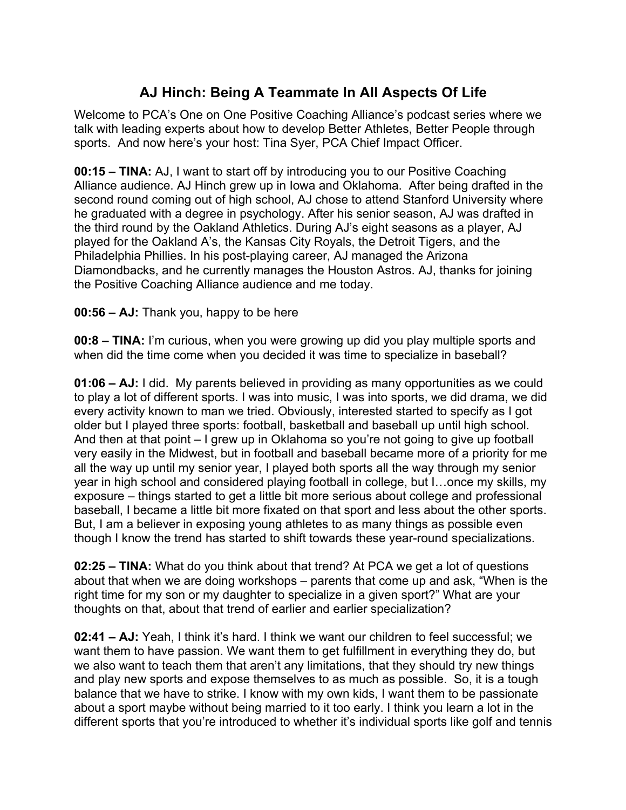## **AJ Hinch: Being A Teammate In All Aspects Of Life**

Welcome to PCA's One on One Positive Coaching Alliance's podcast series where we talk with leading experts about how to develop Better Athletes, Better People through sports. And now here's your host: Tina Syer, PCA Chief Impact Officer.

**00:15 – TINA:** AJ, I want to start off by introducing you to our Positive Coaching Alliance audience. AJ Hinch grew up in Iowa and Oklahoma. After being drafted in the second round coming out of high school, AJ chose to attend Stanford University where he graduated with a degree in psychology. After his senior season, AJ was drafted in the third round by the Oakland Athletics. During AJ's eight seasons as a player, AJ played for the Oakland A's, the Kansas City Royals, the Detroit Tigers, and the Philadelphia Phillies. In his post-playing career, AJ managed the Arizona Diamondbacks, and he currently manages the Houston Astros. AJ, thanks for joining the Positive Coaching Alliance audience and me today.

## **00:56 – AJ:** Thank you, happy to be here

**00:8 – TINA:** I'm curious, when you were growing up did you play multiple sports and when did the time come when you decided it was time to specialize in baseball?

**01:06 – AJ:** I did. My parents believed in providing as many opportunities as we could to play a lot of different sports. I was into music, I was into sports, we did drama, we did every activity known to man we tried. Obviously, interested started to specify as I got older but I played three sports: football, basketball and baseball up until high school. And then at that point – I grew up in Oklahoma so you're not going to give up football very easily in the Midwest, but in football and baseball became more of a priority for me all the way up until my senior year, I played both sports all the way through my senior year in high school and considered playing football in college, but I…once my skills, my exposure – things started to get a little bit more serious about college and professional baseball, I became a little bit more fixated on that sport and less about the other sports. But, I am a believer in exposing young athletes to as many things as possible even though I know the trend has started to shift towards these year-round specializations.

**02:25 – TINA:** What do you think about that trend? At PCA we get a lot of questions about that when we are doing workshops – parents that come up and ask, "When is the right time for my son or my daughter to specialize in a given sport?" What are your thoughts on that, about that trend of earlier and earlier specialization?

**02:41 – AJ:** Yeah, I think it's hard. I think we want our children to feel successful; we want them to have passion. We want them to get fulfillment in everything they do, but we also want to teach them that aren't any limitations, that they should try new things and play new sports and expose themselves to as much as possible. So, it is a tough balance that we have to strike. I know with my own kids, I want them to be passionate about a sport maybe without being married to it too early. I think you learn a lot in the different sports that you're introduced to whether it's individual sports like golf and tennis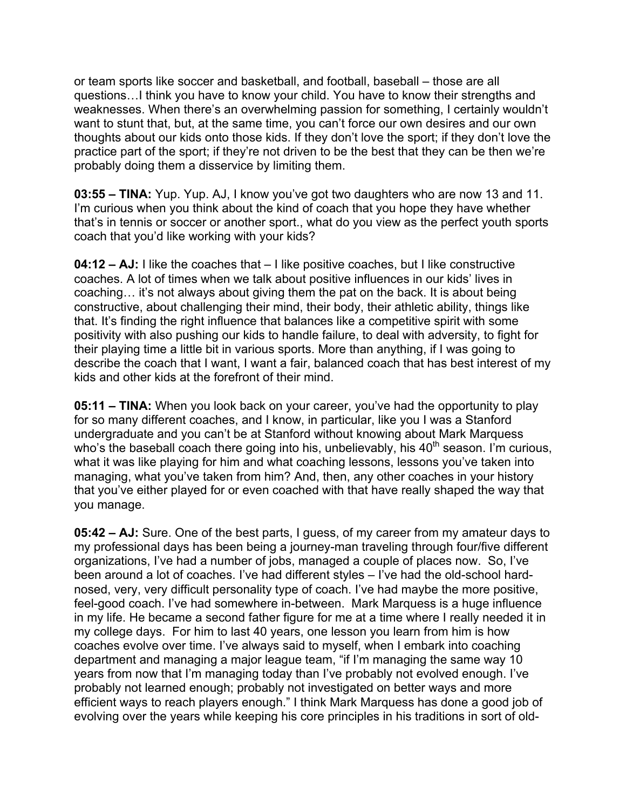or team sports like soccer and basketball, and football, baseball – those are all questions…I think you have to know your child. You have to know their strengths and weaknesses. When there's an overwhelming passion for something, I certainly wouldn't want to stunt that, but, at the same time, you can't force our own desires and our own thoughts about our kids onto those kids. If they don't love the sport; if they don't love the practice part of the sport; if they're not driven to be the best that they can be then we're probably doing them a disservice by limiting them.

**03:55 – TINA:** Yup. Yup. AJ, I know you've got two daughters who are now 13 and 11. I'm curious when you think about the kind of coach that you hope they have whether that's in tennis or soccer or another sport., what do you view as the perfect youth sports coach that you'd like working with your kids?

**04:12 – AJ:** I like the coaches that – I like positive coaches, but I like constructive coaches. A lot of times when we talk about positive influences in our kids' lives in coaching… it's not always about giving them the pat on the back. It is about being constructive, about challenging their mind, their body, their athletic ability, things like that. It's finding the right influence that balances like a competitive spirit with some positivity with also pushing our kids to handle failure, to deal with adversity, to fight for their playing time a little bit in various sports. More than anything, if I was going to describe the coach that I want, I want a fair, balanced coach that has best interest of my kids and other kids at the forefront of their mind.

**05:11 – TINA:** When you look back on your career, you've had the opportunity to play for so many different coaches, and I know, in particular, like you I was a Stanford undergraduate and you can't be at Stanford without knowing about Mark Marquess who's the baseball coach there going into his, unbelievably, his  $40<sup>th</sup>$  season. I'm curious, what it was like playing for him and what coaching lessons, lessons you've taken into managing, what you've taken from him? And, then, any other coaches in your history that you've either played for or even coached with that have really shaped the way that you manage.

**05:42 – AJ:** Sure. One of the best parts, I guess, of my career from my amateur days to my professional days has been being a journey-man traveling through four/five different organizations, I've had a number of jobs, managed a couple of places now. So, I've been around a lot of coaches. I've had different styles – I've had the old-school hardnosed, very, very difficult personality type of coach. I've had maybe the more positive, feel-good coach. I've had somewhere in-between. Mark Marquess is a huge influence in my life. He became a second father figure for me at a time where I really needed it in my college days. For him to last 40 years, one lesson you learn from him is how coaches evolve over time. I've always said to myself, when I embark into coaching department and managing a major league team, "if I'm managing the same way 10 years from now that I'm managing today than I've probably not evolved enough. I've probably not learned enough; probably not investigated on better ways and more efficient ways to reach players enough." I think Mark Marquess has done a good job of evolving over the years while keeping his core principles in his traditions in sort of old-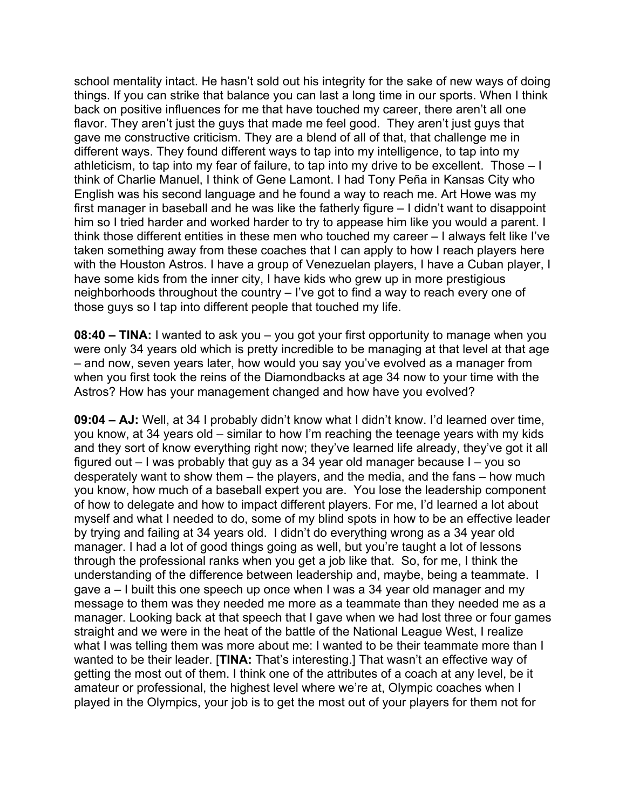school mentality intact. He hasn't sold out his integrity for the sake of new ways of doing things. If you can strike that balance you can last a long time in our sports. When I think back on positive influences for me that have touched my career, there aren't all one flavor. They aren't just the guys that made me feel good. They aren't just guys that gave me constructive criticism. They are a blend of all of that, that challenge me in different ways. They found different ways to tap into my intelligence, to tap into my athleticism, to tap into my fear of failure, to tap into my drive to be excellent. Those – I think of Charlie Manuel, I think of Gene Lamont. I had Tony Peña in Kansas City who English was his second language and he found a way to reach me. Art Howe was my first manager in baseball and he was like the fatherly figure – I didn't want to disappoint him so I tried harder and worked harder to try to appease him like you would a parent. I think those different entities in these men who touched my career – I always felt like I've taken something away from these coaches that I can apply to how I reach players here with the Houston Astros. I have a group of Venezuelan players, I have a Cuban player, I have some kids from the inner city, I have kids who grew up in more prestigious neighborhoods throughout the country – I've got to find a way to reach every one of those guys so I tap into different people that touched my life.

**08:40 – TINA:** I wanted to ask you – you got your first opportunity to manage when you were only 34 years old which is pretty incredible to be managing at that level at that age – and now, seven years later, how would you say you've evolved as a manager from when you first took the reins of the Diamondbacks at age 34 now to your time with the Astros? How has your management changed and how have you evolved?

**09:04 – AJ:** Well, at 34 I probably didn't know what I didn't know. I'd learned over time, you know, at 34 years old – similar to how I'm reaching the teenage years with my kids and they sort of know everything right now; they've learned life already, they've got it all figured out – I was probably that guy as a 34 year old manager because I – you so desperately want to show them – the players, and the media, and the fans – how much you know, how much of a baseball expert you are. You lose the leadership component of how to delegate and how to impact different players. For me, I'd learned a lot about myself and what I needed to do, some of my blind spots in how to be an effective leader by trying and failing at 34 years old. I didn't do everything wrong as a 34 year old manager. I had a lot of good things going as well, but you're taught a lot of lessons through the professional ranks when you get a job like that. So, for me, I think the understanding of the difference between leadership and, maybe, being a teammate. I gave a – I built this one speech up once when I was a 34 year old manager and my message to them was they needed me more as a teammate than they needed me as a manager. Looking back at that speech that I gave when we had lost three or four games straight and we were in the heat of the battle of the National League West, I realize what I was telling them was more about me: I wanted to be their teammate more than I wanted to be their leader. **[TINA:** That's interesting.] That wasn't an effective way of getting the most out of them. I think one of the attributes of a coach at any level, be it amateur or professional, the highest level where we're at, Olympic coaches when I played in the Olympics, your job is to get the most out of your players for them not for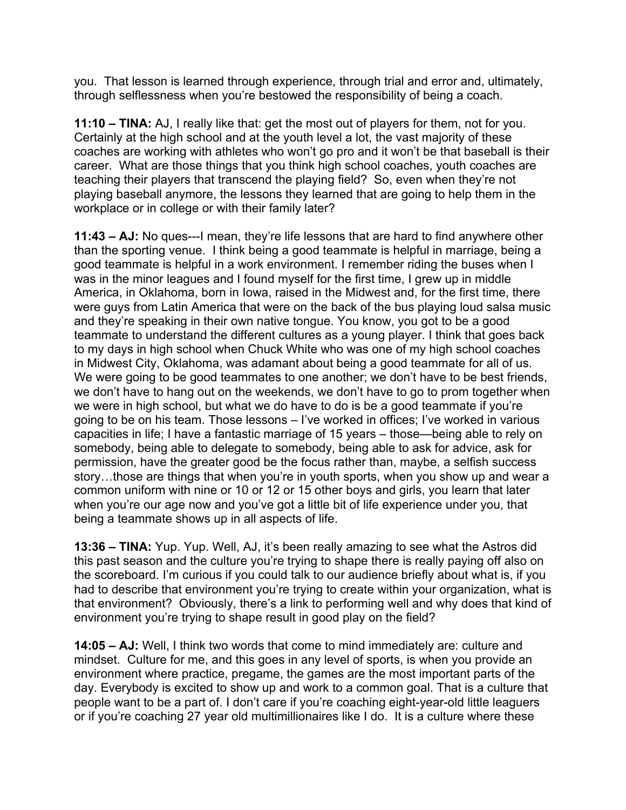you. That lesson is learned through experience, through trial and error and, ultimately, through selflessness when you're bestowed the responsibility of being a coach.

**11:10 – TINA:** AJ, I really like that: get the most out of players for them, not for you. Certainly at the high school and at the youth level a lot, the vast majority of these coaches are working with athletes who won't go pro and it won't be that baseball is their career. What are those things that you think high school coaches, youth coaches are teaching their players that transcend the playing field? So, even when they're not playing baseball anymore, the lessons they learned that are going to help them in the workplace or in college or with their family later?

**11:43 – AJ:** No ques---I mean, they're life lessons that are hard to find anywhere other than the sporting venue. I think being a good teammate is helpful in marriage, being a good teammate is helpful in a work environment. I remember riding the buses when I was in the minor leagues and I found myself for the first time, I grew up in middle America, in Oklahoma, born in Iowa, raised in the Midwest and, for the first time, there were guys from Latin America that were on the back of the bus playing loud salsa music and they're speaking in their own native tongue. You know, you got to be a good teammate to understand the different cultures as a young player. I think that goes back to my days in high school when Chuck White who was one of my high school coaches in Midwest City, Oklahoma, was adamant about being a good teammate for all of us. We were going to be good teammates to one another; we don't have to be best friends, we don't have to hang out on the weekends, we don't have to go to prom together when we were in high school, but what we do have to do is be a good teammate if you're going to be on his team. Those lessons – I've worked in offices; I've worked in various capacities in life; I have a fantastic marriage of 15 years – those—being able to rely on somebody, being able to delegate to somebody, being able to ask for advice, ask for permission, have the greater good be the focus rather than, maybe, a selfish success story...those are things that when you're in youth sports, when you show up and wear a common uniform with nine or 10 or 12 or 15 other boys and girls, you learn that later when you're our age now and you've got a little bit of life experience under you, that being a teammate shows up in all aspects of life.

**13:36 – TINA:** Yup. Yup. Well, AJ, it's been really amazing to see what the Astros did this past season and the culture you're trying to shape there is really paying off also on the scoreboard. I'm curious if you could talk to our audience briefly about what is, if you had to describe that environment you're trying to create within your organization, what is that environment? Obviously, there's a link to performing well and why does that kind of environment you're trying to shape result in good play on the field?

**14:05 – AJ:** Well, I think two words that come to mind immediately are: culture and mindset. Culture for me, and this goes in any level of sports, is when you provide an environment where practice, pregame, the games are the most important parts of the day. Everybody is excited to show up and work to a common goal. That is a culture that people want to be a part of. I don't care if you're coaching eight-year-old little leaguers or if you're coaching 27 year old multimillionaires like I do. It is a culture where these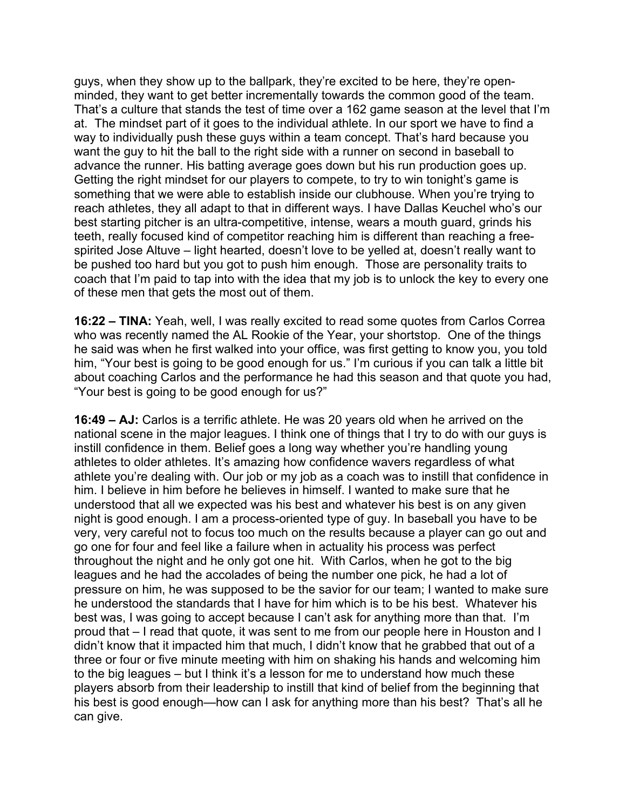guys, when they show up to the ballpark, they're excited to be here, they're openminded, they want to get better incrementally towards the common good of the team. That's a culture that stands the test of time over a 162 game season at the level that I'm at. The mindset part of it goes to the individual athlete. In our sport we have to find a way to individually push these guys within a team concept. That's hard because you want the guy to hit the ball to the right side with a runner on second in baseball to advance the runner. His batting average goes down but his run production goes up. Getting the right mindset for our players to compete, to try to win tonight's game is something that we were able to establish inside our clubhouse. When you're trying to reach athletes, they all adapt to that in different ways. I have Dallas Keuchel who's our best starting pitcher is an ultra-competitive, intense, wears a mouth guard, grinds his teeth, really focused kind of competitor reaching him is different than reaching a freespirited Jose Altuve – light hearted, doesn't love to be yelled at, doesn't really want to be pushed too hard but you got to push him enough. Those are personality traits to coach that I'm paid to tap into with the idea that my job is to unlock the key to every one of these men that gets the most out of them.

**16:22 – TINA:** Yeah, well, I was really excited to read some quotes from Carlos Correa who was recently named the AL Rookie of the Year, your shortstop. One of the things he said was when he first walked into your office, was first getting to know you, you told him, "Your best is going to be good enough for us." I'm curious if you can talk a little bit about coaching Carlos and the performance he had this season and that quote you had, "Your best is going to be good enough for us?"

**16:49 – AJ:** Carlos is a terrific athlete. He was 20 years old when he arrived on the national scene in the major leagues. I think one of things that I try to do with our guys is instill confidence in them. Belief goes a long way whether you're handling young athletes to older athletes. It's amazing how confidence wavers regardless of what athlete you're dealing with. Our job or my job as a coach was to instill that confidence in him. I believe in him before he believes in himself. I wanted to make sure that he understood that all we expected was his best and whatever his best is on any given night is good enough. I am a process-oriented type of guy. In baseball you have to be very, very careful not to focus too much on the results because a player can go out and go one for four and feel like a failure when in actuality his process was perfect throughout the night and he only got one hit. With Carlos, when he got to the big leagues and he had the accolades of being the number one pick, he had a lot of pressure on him, he was supposed to be the savior for our team; I wanted to make sure he understood the standards that I have for him which is to be his best. Whatever his best was, I was going to accept because I can't ask for anything more than that. I'm proud that – I read that quote, it was sent to me from our people here in Houston and I didn't know that it impacted him that much, I didn't know that he grabbed that out of a three or four or five minute meeting with him on shaking his hands and welcoming him to the big leagues – but I think it's a lesson for me to understand how much these players absorb from their leadership to instill that kind of belief from the beginning that his best is good enough—how can I ask for anything more than his best? That's all he can give.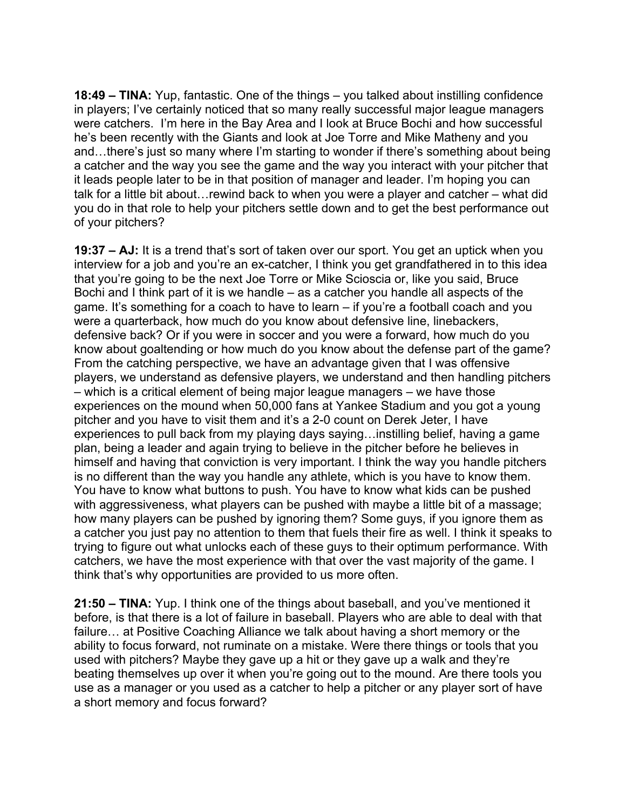**18:49 – TINA:** Yup, fantastic. One of the things – you talked about instilling confidence in players; I've certainly noticed that so many really successful major league managers were catchers. I'm here in the Bay Area and I look at Bruce Bochi and how successful he's been recently with the Giants and look at Joe Torre and Mike Matheny and you and…there's just so many where I'm starting to wonder if there's something about being a catcher and the way you see the game and the way you interact with your pitcher that it leads people later to be in that position of manager and leader. I'm hoping you can talk for a little bit about…rewind back to when you were a player and catcher – what did you do in that role to help your pitchers settle down and to get the best performance out of your pitchers?

**19:37 – AJ:** It is a trend that's sort of taken over our sport. You get an uptick when you interview for a job and you're an ex-catcher, I think you get grandfathered in to this idea that you're going to be the next Joe Torre or Mike Scioscia or, like you said, Bruce Bochi and I think part of it is we handle – as a catcher you handle all aspects of the game. It's something for a coach to have to learn – if you're a football coach and you were a quarterback, how much do you know about defensive line, linebackers, defensive back? Or if you were in soccer and you were a forward, how much do you know about goaltending or how much do you know about the defense part of the game? From the catching perspective, we have an advantage given that I was offensive players, we understand as defensive players, we understand and then handling pitchers – which is a critical element of being major league managers – we have those experiences on the mound when 50,000 fans at Yankee Stadium and you got a young pitcher and you have to visit them and it's a 2-0 count on Derek Jeter, I have experiences to pull back from my playing days saying…instilling belief, having a game plan, being a leader and again trying to believe in the pitcher before he believes in himself and having that conviction is very important. I think the way you handle pitchers is no different than the way you handle any athlete, which is you have to know them. You have to know what buttons to push. You have to know what kids can be pushed with aggressiveness, what players can be pushed with maybe a little bit of a massage; how many players can be pushed by ignoring them? Some guys, if you ignore them as a catcher you just pay no attention to them that fuels their fire as well. I think it speaks to trying to figure out what unlocks each of these guys to their optimum performance. With catchers, we have the most experience with that over the vast majority of the game. I think that's why opportunities are provided to us more often.

**21:50 – TINA:** Yup. I think one of the things about baseball, and you've mentioned it before, is that there is a lot of failure in baseball. Players who are able to deal with that failure… at Positive Coaching Alliance we talk about having a short memory or the ability to focus forward, not ruminate on a mistake. Were there things or tools that you used with pitchers? Maybe they gave up a hit or they gave up a walk and they're beating themselves up over it when you're going out to the mound. Are there tools you use as a manager or you used as a catcher to help a pitcher or any player sort of have a short memory and focus forward?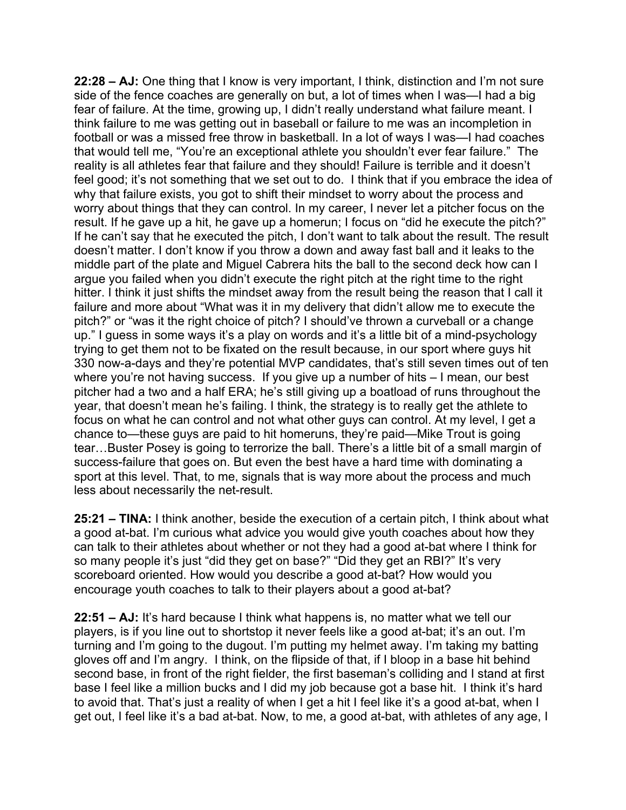**22:28 – AJ:** One thing that I know is very important, I think, distinction and I'm not sure side of the fence coaches are generally on but, a lot of times when I was—I had a big fear of failure. At the time, growing up, I didn't really understand what failure meant. I think failure to me was getting out in baseball or failure to me was an incompletion in football or was a missed free throw in basketball. In a lot of ways I was—I had coaches that would tell me, "You're an exceptional athlete you shouldn't ever fear failure." The reality is all athletes fear that failure and they should! Failure is terrible and it doesn't feel good; it's not something that we set out to do. I think that if you embrace the idea of why that failure exists, you got to shift their mindset to worry about the process and worry about things that they can control. In my career, I never let a pitcher focus on the result. If he gave up a hit, he gave up a homerun; I focus on "did he execute the pitch?" If he can't say that he executed the pitch, I don't want to talk about the result. The result doesn't matter. I don't know if you throw a down and away fast ball and it leaks to the middle part of the plate and Miguel Cabrera hits the ball to the second deck how can I argue you failed when you didn't execute the right pitch at the right time to the right hitter. I think it just shifts the mindset away from the result being the reason that I call it failure and more about "What was it in my delivery that didn't allow me to execute the pitch?" or "was it the right choice of pitch? I should've thrown a curveball or a change up." I guess in some ways it's a play on words and it's a little bit of a mind-psychology trying to get them not to be fixated on the result because, in our sport where guys hit 330 now-a-days and they're potential MVP candidates, that's still seven times out of ten where you're not having success. If you give up a number of hits – I mean, our best pitcher had a two and a half ERA; he's still giving up a boatload of runs throughout the year, that doesn't mean he's failing. I think, the strategy is to really get the athlete to focus on what he can control and not what other guys can control. At my level, I get a chance to—these guys are paid to hit homeruns, they're paid—Mike Trout is going tear…Buster Posey is going to terrorize the ball. There's a little bit of a small margin of success-failure that goes on. But even the best have a hard time with dominating a sport at this level. That, to me, signals that is way more about the process and much less about necessarily the net-result.

**25:21 – TINA:** I think another, beside the execution of a certain pitch, I think about what a good at-bat. I'm curious what advice you would give youth coaches about how they can talk to their athletes about whether or not they had a good at-bat where I think for so many people it's just "did they get on base?" "Did they get an RBI?" It's very scoreboard oriented. How would you describe a good at-bat? How would you encourage youth coaches to talk to their players about a good at-bat?

**22:51 – AJ:** It's hard because I think what happens is, no matter what we tell our players, is if you line out to shortstop it never feels like a good at-bat; it's an out. I'm turning and I'm going to the dugout. I'm putting my helmet away. I'm taking my batting gloves off and I'm angry. I think, on the flipside of that, if I bloop in a base hit behind second base, in front of the right fielder, the first baseman's colliding and I stand at first base I feel like a million bucks and I did my job because got a base hit. I think it's hard to avoid that. That's just a reality of when I get a hit I feel like it's a good at-bat, when I get out, I feel like it's a bad at-bat. Now, to me, a good at-bat, with athletes of any age, I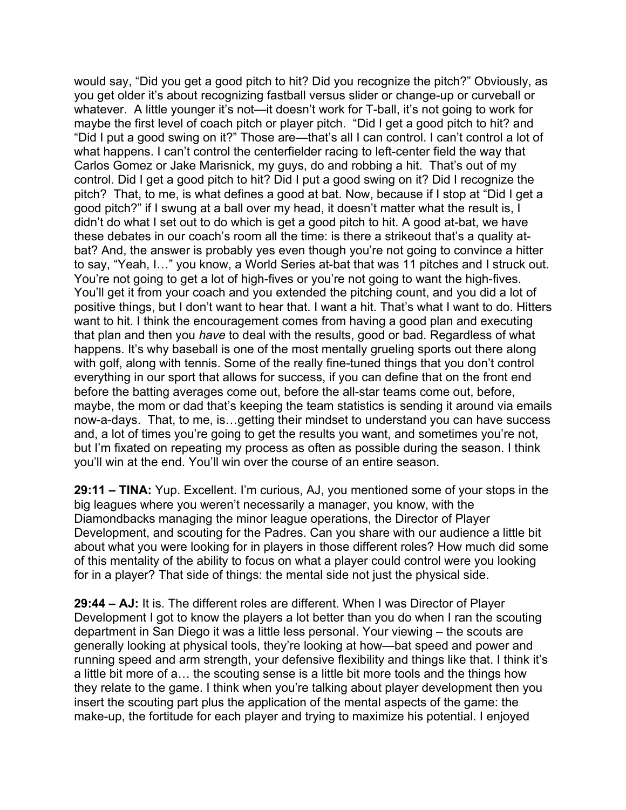would say, "Did you get a good pitch to hit? Did you recognize the pitch?" Obviously, as you get older it's about recognizing fastball versus slider or change-up or curveball or whatever. A little younger it's not—it doesn't work for T-ball, it's not going to work for maybe the first level of coach pitch or player pitch. "Did I get a good pitch to hit? and "Did I put a good swing on it?" Those are—that's all I can control. I can't control a lot of what happens. I can't control the centerfielder racing to left-center field the way that Carlos Gomez or Jake Marisnick, my guys, do and robbing a hit. That's out of my control. Did I get a good pitch to hit? Did I put a good swing on it? Did I recognize the pitch? That, to me, is what defines a good at bat. Now, because if I stop at "Did I get a good pitch?" if I swung at a ball over my head, it doesn't matter what the result is, I didn't do what I set out to do which is get a good pitch to hit. A good at-bat, we have these debates in our coach's room all the time: is there a strikeout that's a quality atbat? And, the answer is probably yes even though you're not going to convince a hitter to say, "Yeah, I…" you know, a World Series at-bat that was 11 pitches and I struck out. You're not going to get a lot of high-fives or you're not going to want the high-fives. You'll get it from your coach and you extended the pitching count, and you did a lot of positive things, but I don't want to hear that. I want a hit. That's what I want to do. Hitters want to hit. I think the encouragement comes from having a good plan and executing that plan and then you *have* to deal with the results, good or bad. Regardless of what happens. It's why baseball is one of the most mentally grueling sports out there along with golf, along with tennis. Some of the really fine-tuned things that you don't control everything in our sport that allows for success, if you can define that on the front end before the batting averages come out, before the all-star teams come out, before, maybe, the mom or dad that's keeping the team statistics is sending it around via emails now-a-days. That, to me, is…getting their mindset to understand you can have success and, a lot of times you're going to get the results you want, and sometimes you're not, but I'm fixated on repeating my process as often as possible during the season. I think you'll win at the end. You'll win over the course of an entire season.

**29:11 – TINA:** Yup. Excellent. I'm curious, AJ, you mentioned some of your stops in the big leagues where you weren't necessarily a manager, you know, with the Diamondbacks managing the minor league operations, the Director of Player Development, and scouting for the Padres. Can you share with our audience a little bit about what you were looking for in players in those different roles? How much did some of this mentality of the ability to focus on what a player could control were you looking for in a player? That side of things: the mental side not just the physical side.

**29:44 – AJ:** It is. The different roles are different. When I was Director of Player Development I got to know the players a lot better than you do when I ran the scouting department in San Diego it was a little less personal. Your viewing – the scouts are generally looking at physical tools, they're looking at how—bat speed and power and running speed and arm strength, your defensive flexibility and things like that. I think it's a little bit more of a… the scouting sense is a little bit more tools and the things how they relate to the game. I think when you're talking about player development then you insert the scouting part plus the application of the mental aspects of the game: the make-up, the fortitude for each player and trying to maximize his potential. I enjoyed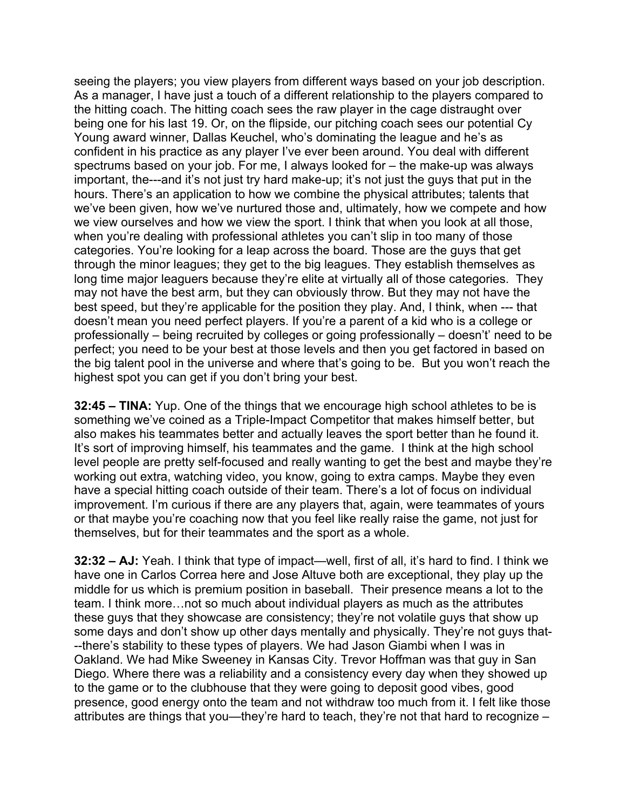seeing the players; you view players from different ways based on your job description. As a manager, I have just a touch of a different relationship to the players compared to the hitting coach. The hitting coach sees the raw player in the cage distraught over being one for his last 19. Or, on the flipside, our pitching coach sees our potential Cy Young award winner, Dallas Keuchel, who's dominating the league and he's as confident in his practice as any player I've ever been around. You deal with different spectrums based on your job. For me, I always looked for – the make-up was always important, the---and it's not just try hard make-up; it's not just the guys that put in the hours. There's an application to how we combine the physical attributes; talents that we've been given, how we've nurtured those and, ultimately, how we compete and how we view ourselves and how we view the sport. I think that when you look at all those, when you're dealing with professional athletes you can't slip in too many of those categories. You're looking for a leap across the board. Those are the guys that get through the minor leagues; they get to the big leagues. They establish themselves as long time major leaguers because they're elite at virtually all of those categories. They may not have the best arm, but they can obviously throw. But they may not have the best speed, but they're applicable for the position they play. And, I think, when --- that doesn't mean you need perfect players. If you're a parent of a kid who is a college or professionally – being recruited by colleges or going professionally – doesn't' need to be perfect; you need to be your best at those levels and then you get factored in based on the big talent pool in the universe and where that's going to be. But you won't reach the highest spot you can get if you don't bring your best.

**32:45 – TINA:** Yup. One of the things that we encourage high school athletes to be is something we've coined as a Triple-Impact Competitor that makes himself better, but also makes his teammates better and actually leaves the sport better than he found it. It's sort of improving himself, his teammates and the game. I think at the high school level people are pretty self-focused and really wanting to get the best and maybe they're working out extra, watching video, you know, going to extra camps. Maybe they even have a special hitting coach outside of their team. There's a lot of focus on individual improvement. I'm curious if there are any players that, again, were teammates of yours or that maybe you're coaching now that you feel like really raise the game, not just for themselves, but for their teammates and the sport as a whole.

**32:32 – AJ:** Yeah. I think that type of impact—well, first of all, it's hard to find. I think we have one in Carlos Correa here and Jose Altuve both are exceptional, they play up the middle for us which is premium position in baseball. Their presence means a lot to the team. I think more…not so much about individual players as much as the attributes these guys that they showcase are consistency; they're not volatile guys that show up some days and don't show up other days mentally and physically. They're not guys that- --there's stability to these types of players. We had Jason Giambi when I was in Oakland. We had Mike Sweeney in Kansas City. Trevor Hoffman was that guy in San Diego. Where there was a reliability and a consistency every day when they showed up to the game or to the clubhouse that they were going to deposit good vibes, good presence, good energy onto the team and not withdraw too much from it. I felt like those attributes are things that you—they're hard to teach, they're not that hard to recognize –